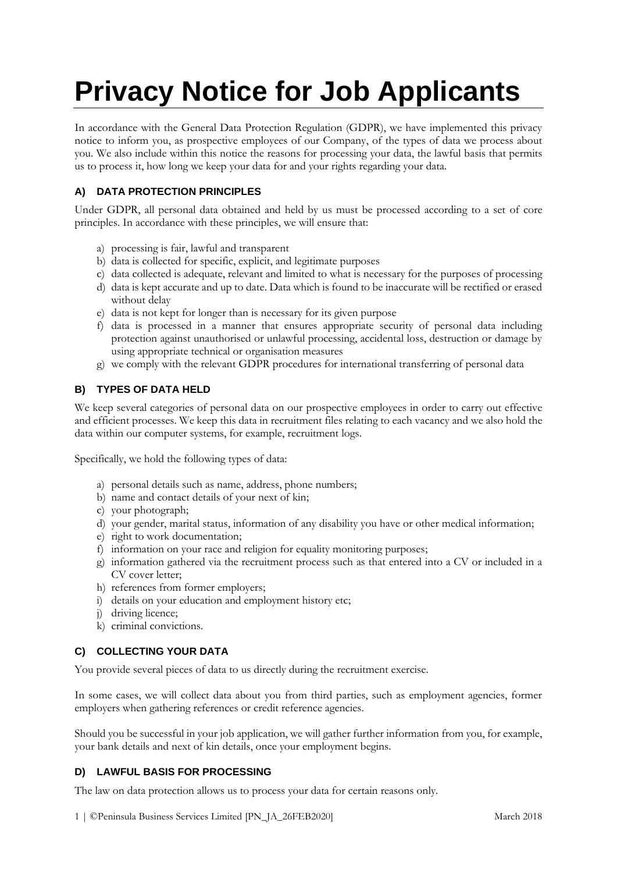# **Privacy Notice for Job Applicants**

In accordance with the General Data Protection Regulation (GDPR), we have implemented this privacy notice to inform you, as prospective employees of our Company, of the types of data we process about you. We also include within this notice the reasons for processing your data, the lawful basis that permits us to process it, how long we keep your data for and your rights regarding your data.

# **A) DATA PROTECTION PRINCIPLES**

Under GDPR, all personal data obtained and held by us must be processed according to a set of core principles. In accordance with these principles, we will ensure that:

- a) processing is fair, lawful and transparent
- b) data is collected for specific, explicit, and legitimate purposes
- c) data collected is adequate, relevant and limited to what is necessary for the purposes of processing
- d) data is kept accurate and up to date. Data which is found to be inaccurate will be rectified or erased without delay
- e) data is not kept for longer than is necessary for its given purpose
- f) data is processed in a manner that ensures appropriate security of personal data including protection against unauthorised or unlawful processing, accidental loss, destruction or damage by using appropriate technical or organisation measures
- g) we comply with the relevant GDPR procedures for international transferring of personal data

## **B) TYPES OF DATA HELD**

We keep several categories of personal data on our prospective employees in order to carry out effective and efficient processes. We keep this data in recruitment files relating to each vacancy and we also hold the data within our computer systems, for example, recruitment logs.

Specifically, we hold the following types of data:

- a) personal details such as name, address, phone numbers;
- b) name and contact details of your next of kin;
- c) your photograph;
- d) your gender, marital status, information of any disability you have or other medical information;
- e) right to work documentation;
- f) information on your race and religion for equality monitoring purposes;
- g) information gathered via the recruitment process such as that entered into a CV or included in a CV cover letter;
- h) references from former employers;
- i) details on your education and employment history etc;
- j) driving licence;
- k) criminal convictions.

#### **C) COLLECTING YOUR DATA**

You provide several pieces of data to us directly during the recruitment exercise.

In some cases, we will collect data about you from third parties, such as employment agencies, former employers when gathering references or credit reference agencies.

Should you be successful in your job application, we will gather further information from you, for example, your bank details and next of kin details, once your employment begins.

# **D) LAWFUL BASIS FOR PROCESSING**

The law on data protection allows us to process your data for certain reasons only.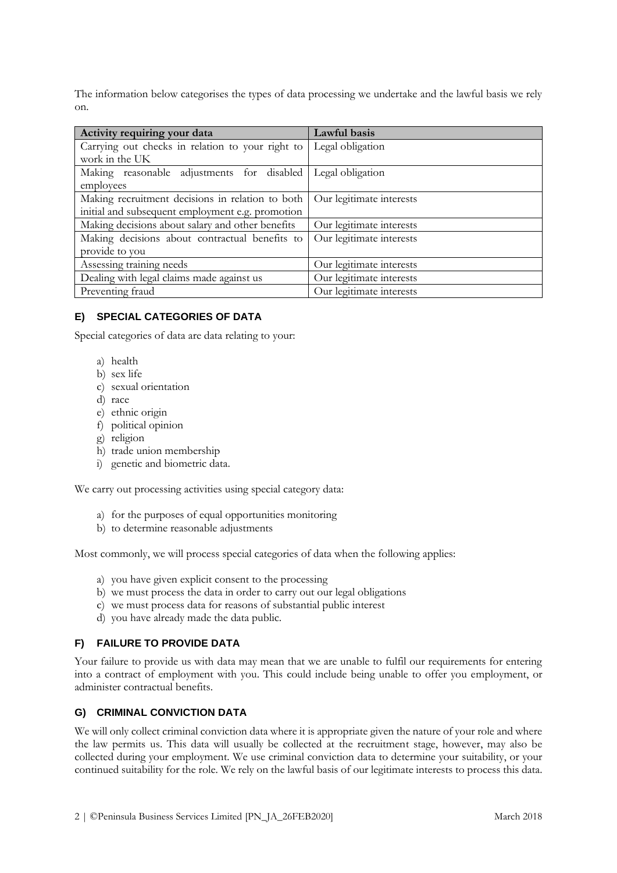The information below categorises the types of data processing we undertake and the lawful basis we rely on.

| Activity requiring your data                     | Lawful basis             |
|--------------------------------------------------|--------------------------|
| Carrying out checks in relation to your right to | Legal obligation         |
| work in the UK                                   |                          |
| Making reasonable adjustments for disabled       | Legal obligation         |
| employees                                        |                          |
| Making recruitment decisions in relation to both | Our legitimate interests |
| initial and subsequent employment e.g. promotion |                          |
| Making decisions about salary and other benefits | Our legitimate interests |
| Making decisions about contractual benefits to   | Our legitimate interests |
| provide to you                                   |                          |
| Assessing training needs                         | Our legitimate interests |
| Dealing with legal claims made against us        | Our legitimate interests |
| Preventing fraud                                 | Our legitimate interests |

## **E) SPECIAL CATEGORIES OF DATA**

Special categories of data are data relating to your:

- a) health
- b) sex life
- c) sexual orientation
- d) race
- e) ethnic origin
- f) political opinion
- g) religion
- h) trade union membership
- i) genetic and biometric data.

We carry out processing activities using special category data:

- a) for the purposes of equal opportunities monitoring
- b) to determine reasonable adjustments

Most commonly, we will process special categories of data when the following applies:

- a) you have given explicit consent to the processing
- b) we must process the data in order to carry out our legal obligations
- c) we must process data for reasons of substantial public interest
- d) you have already made the data public.

# **F) FAILURE TO PROVIDE DATA**

Your failure to provide us with data may mean that we are unable to fulfil our requirements for entering into a contract of employment with you. This could include being unable to offer you employment, or administer contractual benefits.

## **G) CRIMINAL CONVICTION DATA**

We will only collect criminal conviction data where it is appropriate given the nature of your role and where the law permits us. This data will usually be collected at the recruitment stage, however, may also be collected during your employment. We use criminal conviction data to determine your suitability, or your continued suitability for the role. We rely on the lawful basis of our legitimate interests to process this data.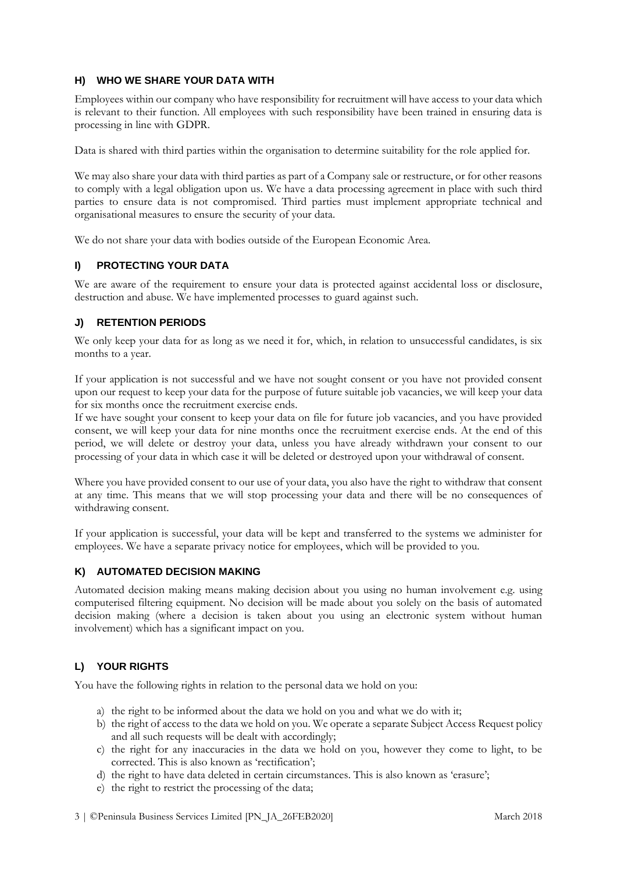#### **H) WHO WE SHARE YOUR DATA WITH**

Employees within our company who have responsibility for recruitment will have access to your data which is relevant to their function. All employees with such responsibility have been trained in ensuring data is processing in line with GDPR.

Data is shared with third parties within the organisation to determine suitability for the role applied for.

We may also share your data with third parties as part of a Company sale or restructure, or for other reasons to comply with a legal obligation upon us. We have a data processing agreement in place with such third parties to ensure data is not compromised. Third parties must implement appropriate technical and organisational measures to ensure the security of your data.

We do not share your data with bodies outside of the European Economic Area.

#### **I) PROTECTING YOUR DATA**

We are aware of the requirement to ensure your data is protected against accidental loss or disclosure, destruction and abuse. We have implemented processes to guard against such.

## **J) RETENTION PERIODS**

We only keep your data for as long as we need it for, which, in relation to unsuccessful candidates, is six months to a year.

If your application is not successful and we have not sought consent or you have not provided consent upon our request to keep your data for the purpose of future suitable job vacancies, we will keep your data for six months once the recruitment exercise ends.

If we have sought your consent to keep your data on file for future job vacancies, and you have provided consent, we will keep your data for nine months once the recruitment exercise ends. At the end of this period, we will delete or destroy your data, unless you have already withdrawn your consent to our processing of your data in which case it will be deleted or destroyed upon your withdrawal of consent.

Where you have provided consent to our use of your data, you also have the right to withdraw that consent at any time. This means that we will stop processing your data and there will be no consequences of withdrawing consent.

If your application is successful, your data will be kept and transferred to the systems we administer for employees. We have a separate privacy notice for employees, which will be provided to you.

#### **K) AUTOMATED DECISION MAKING**

Automated decision making means making decision about you using no human involvement e.g. using computerised filtering equipment. No decision will be made about you solely on the basis of automated decision making (where a decision is taken about you using an electronic system without human involvement) which has a significant impact on you.

# **L) YOUR RIGHTS**

You have the following rights in relation to the personal data we hold on you:

- a) the right to be informed about the data we hold on you and what we do with it;
- b) the right of access to the data we hold on you. We operate a separate Subject Access Request policy and all such requests will be dealt with accordingly;
- c) the right for any inaccuracies in the data we hold on you, however they come to light, to be corrected. This is also known as 'rectification';
- d) the right to have data deleted in certain circumstances. This is also known as 'erasure';
- e) the right to restrict the processing of the data;